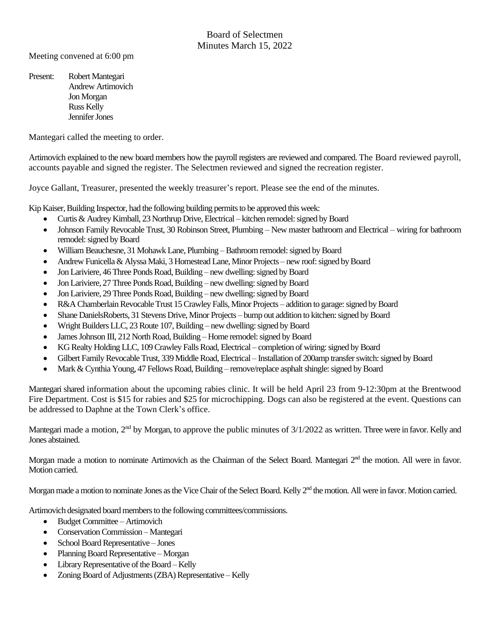Meeting convened at 6:00 pm

Present: Robert Mantegari Andrew Artimovich Jon Morgan Russ Kelly Jennifer Jones

Mantegari called the meeting to order.

Artimovich explained to the new board members how the payroll registers are reviewed and compared. The Board reviewed payroll, accounts payable and signed the register. The Selectmen reviewed and signed the recreation register.

Joyce Gallant, Treasurer, presented the weekly treasurer's report. Please see the end of the minutes.

Kip Kaiser, Building Inspector, had the following building permits to be approved this week:

- Curtis & Audrey Kimball, 23 Northrup Drive, Electrical kitchen remodel: signed by Board
- Johnson Family Revocable Trust, 30 Robinson Street, Plumbing New master bathroom and Electrical wiring for bathroom remodel: signed by Board
- William Beauchesne, 31 Mohawk Lane, Plumbing Bathroom remodel: signed by Board
- Andrew Funicella & Alyssa Maki, 3 Homestead Lane, Minor Projects new roof: signed by Board
- Jon Lariviere, 46 Three Ponds Road, Building new dwelling: signed by Board
- Jon Lariviere, 27 Three Ponds Road, Building new dwelling: signed by Board
- Jon Lariviere, 29 Three Ponds Road, Building new dwelling: signed by Board
- R&A Chamberlain RevocableTrust 15 Crawley Falls, Minor Projects addition to garage: signed by Board
- Shane DanielsRoberts, 31 Stevens Drive, Minor Projects bump out addition to kitchen: signed by Board
- Wright Builders LLC, 23 Route 107, Building new dwelling: signed by Board
- James Johnson III, 212 North Road, Building Home remodel: signed by Board
- KG Realty Holding LLC, 109 Crawley FallsRoad, Electrical completion of wiring: signed by Board
- Gilbert Family Revocable Trust, 339 Middle Road, Electrical Installation of 200amp transfer switch: signed by Board
- Mark & Cynthia Young, 47 Fellows Road, Building remove/replace asphalt shingle: signed by Board

Mantegari shared information about the upcoming rabies clinic. It will be held April 23 from 9-12:30pm at the Brentwood Fire Department. Cost is \$15 for rabies and \$25 for microchipping. Dogs can also be registered at the event. Questions can be addressed to Daphne at the Town Clerk's office.

Mantegari made a motion, 2<sup>nd</sup> by Morgan, to approve the public minutes of 3/1/2022 as written. Three were in favor. Kelly and Jones abstained.

Morgan made a motion to nominate Artimovich as the Chairman of the Select Board. Mantegari 2<sup>nd</sup> the motion. All were in favor. Motion carried.

Morgan made a motion to nominate Jones as the Vice Chair of the Select Board. Kelly 2<sup>nd</sup> the motion. All were in favor. Motion carried.

Artimovich designated board members to the following committees/commissions.

- Budget Committee Artimovich
- Conservation Commission Mantegari
- School Board Representative Jones
- Planning Board Representative Morgan
- Library Representative of the Board Kelly
- Zoning Board of Adjustments (ZBA) Representative Kelly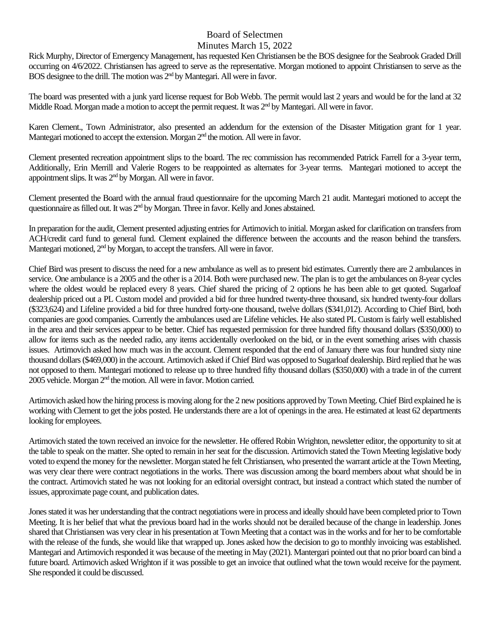## Board of Selectmen

## Minutes March 15, 2022

Rick Murphy, Director of Emergency Management, has requested Ken Christiansen be the BOS designee for the Seabrook Graded Drill occurring on 4/6/2022. Christiansen has agreed to serve as the representative. Morgan motioned to appoint Christiansen to serve as the BOS designee to the drill. The motion was 2<sup>nd</sup> by Mantegari. All were in favor.

The board was presented with a junk yard license request for Bob Webb. The permit would last 2 years and would be for the land at 32 Middle Road. Morgan made a motion to accept the permit request. It was 2<sup>nd</sup> by Mantegari. All were in favor.

Karen Clement., Town Administrator, also presented an addendum for the extension of the Disaster Mitigation grant for 1 year. Mantegari motioned to accept the extension. Morgan 2<sup>nd</sup> the motion. All were in favor.

Clement presented recreation appointment slips to the board. The rec commission has recommended Patrick Farrell for a 3-year term, Additionally, Erin Merrill and Valerie Rogers to be reappointed as alternates for 3-year terms. Mantegari motioned to accept the appointment slips. It was  $2<sup>nd</sup>$  by Morgan. All were in favor.

Clement presented the Board with the annual fraud questionnaire for the upcoming March 21 audit. Mantegari motioned to accept the questionnaire as filled out. It was 2<sup>nd</sup> by Morgan. Three in favor. Kelly and Jones abstained.

In preparation for the audit, Clement presented adjusting entries for Artimovich to initial. Morgan asked for clarification on transfers from ACH/credit card fund to general fund. Clement explained the difference between the accounts and the reason behind the transfers. Mantegari motioned, 2<sup>nd</sup> by Morgan, to accept the transfers. All were in favor.

Chief Bird was present to discuss the need for a new ambulance as well as to present bid estimates. Currently there are 2 ambulances in service. One ambulance is a 2005 and the other is a 2014. Both were purchased new. The plan is to get the ambulances on 8-year cycles where the oldest would be replaced every 8 years. Chief shared the pricing of 2 options he has been able to get quoted. Sugarloaf dealership priced out a PL Custom model and provided a bid for three hundred twenty-three thousand, six hundred twenty-four dollars (\$323,624) and Lifeline provided a bid for three hundred forty-one thousand, twelve dollars (\$341,012). According to Chief Bird, both companies are good companies. Currently the ambulances used are Lifeline vehicles. He also stated PL Custom is fairly well established in the area and their services appear to be better. Chief has requested permission for three hundred fifty thousand dollars (\$350,000) to allow for items such as the needed radio, any items accidentally overlooked on the bid, or in the event something arises with chassis issues. Artimovich asked how much was in the account. Clement responded that the end of January there was four hundred sixty nine thousand dollars (\$469,000) in the account. Artimovich asked if Chief Bird was opposed to Sugarloaf dealership. Bird replied that he was not opposed to them. Mantegari motioned to release up to three hundred fifty thousand dollars (\$350,000) with a trade in of the current 2005 vehicle. Morgan 2nd the motion. All were in favor. Motion carried.

Artimovich asked how the hiring process is moving along for the 2 new positions approved by Town Meeting. Chief Bird explained he is working with Clement to get the jobs posted. He understands there are a lot of openings in the area. He estimated at least 62 departments looking for employees.

Artimovich stated the town received an invoice for the newsletter. He offered Robin Wrighton, newsletter editor, the opportunity to sit at the table to speak on the matter. She opted to remain in her seat for the discussion. Artimovich stated the Town Meeting legislative body voted to expend the money for the newsletter. Morgan stated he felt Christiansen, who presented the warrant article at the Town Meeting, was very clear there were contract negotiations in the works. There was discussion among the board members about what should be in the contract. Artimovich stated he was not looking for an editorial oversight contract, but instead a contract which stated the number of issues, approximate page count, and publication dates.

Jones stated it was her understanding that the contract negotiations were in process and ideally should have been completed prior to Town Meeting. It is her belief that what the previous board had in the works should not be derailed because of the change in leadership. Jones shared that Christiansen was very clear in his presentation at Town Meeting that a contact was in the works and for her to be comfortable with the release of the funds, she would like that wrapped up. Jones asked how the decision to go to monthly invoicing was established. Mantegari and Artimovich responded it was because of the meeting in May (2021). Mantergari pointed out that no prior board can bind a future board. Artimovich asked Wrighton if it was possible to get an invoice that outlined what the town would receive for the payment. She responded it could be discussed.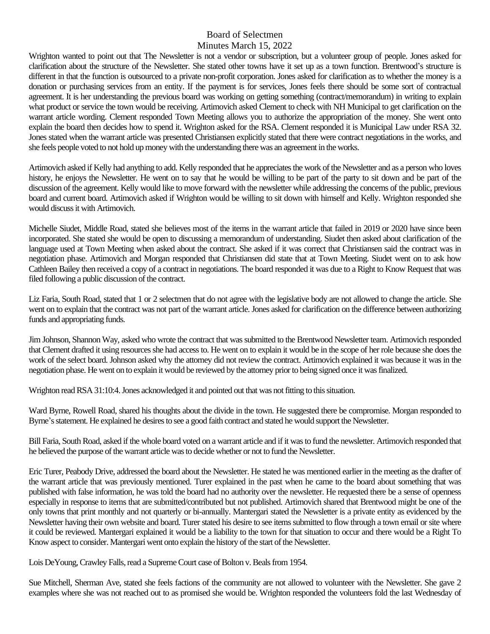## Board of Selectmen Minutes March 15, 2022

Wrighton wanted to point out that The Newsletter is not a vendor or subscription, but a volunteer group of people. Jones asked for clarification about the structure of the Newsletter. She stated other towns have it set up as a town function. Brentwood's structure is different in that the function is outsourced to a private non-profit corporation. Jones asked for clarification as to whether the money is a donation or purchasing services from an entity. If the payment is for services, Jones feels there should be some sort of contractual agreement. It is her understanding the previous board was working on getting something (contract/memorandum) in writing to explain what product or service the town would be receiving. Artimovich asked Clement to check with NH Municipal to get clarification on the warrant article wording. Clement responded Town Meeting allows you to authorize the appropriation of the money. She went onto explain the board then decides how to spend it. Wrighton asked for the RSA. Clement responded it is Municipal Law under RSA 32. Jones stated when the warrant article was presented Christiansen explicitly stated that there were contract negotiations in the works, and she feels people voted to not hold up money with the understanding there was an agreement in the works.

Artimovich asked if Kelly had anything to add. Kelly responded that he appreciates the work of the Newsletter and as a person who loves history, he enjoys the Newsletter. He went on to say that he would be willing to be part of the party to sit down and be part of the discussion of the agreement. Kelly would like to move forward with the newsletter while addressing the concerns of the public, previous board and current board. Artimovich asked if Wrighton would be willing to sit down with himself and Kelly. Wrighton responded she would discuss it with Artimovich.

Michelle Siudet, Middle Road, stated she believes most of the items in the warrant article that failed in 2019 or 2020 have since been incorporated. She stated she would be open to discussing a memorandum of understanding. Siudet then asked about clarification of the language used at Town Meeting when asked about the contract. She asked if it was correct that Christiansen said the contract was in negotiation phase. Artimovich and Morgan responded that Christiansen did state that at Town Meeting. Siudet went on to ask how Cathleen Bailey then received a copy of a contract in negotiations. The board responded it was due to a Right to Know Request that was filed following a public discussion of the contract.

Liz Faria, South Road, stated that 1 or 2 selectmen that do not agree with the legislative body are not allowed to change the article. She went on to explain that the contract was not part of the warrant article. Jones asked for clarification on the difference between authorizing funds and appropriating funds.

Jim Johnson, Shannon Way, asked who wrote the contract that was submitted to the Brentwood Newsletter team. Artimovich responded that Clement drafted it using resources she had access to. He went on to explain it would be in the scope of her role because she does the work of the select board. Johnson asked why the attorney did not review the contract. Artimovich explained it was because it was in the negotiation phase. He went on to explain it would be reviewed by the attorney prior to being signed once it was finalized.

Wrighton read RSA 31:10:4. Jones acknowledged it and pointed out that was not fitting to this situation.

Ward Byrne, Rowell Road, shared his thoughts about the divide in the town. He suggested there be compromise. Morgan responded to Byrne's statement. He explained he desires to see a good faith contract and stated he would support the Newsletter.

Bill Faria, South Road, asked if the whole board voted on a warrant article and if it was to fund the newsletter. Artimovich responded that he believed the purpose of the warrant article was to decide whether or not to fund the Newsletter.

Eric Turer, Peabody Drive, addressed the board about the Newsletter. He stated he was mentioned earlier in the meeting as the drafter of the warrant article that was previously mentioned. Turer explained in the past when he came to the board about something that was published with false information, he was told the board had no authority over the newsletter. He requested there be a sense of openness especially in response to items that are submitted/contributed but not published. Artimovich shared that Brentwood might be one of the only towns that print monthly and not quarterly or bi-annually. Mantergari stated the Newsletter is a private entity as evidenced by the Newsletter having their own website and board. Turer stated his desire to see items submitted to flow through a town email or site where it could be reviewed. Mantergari explained it would be a liability to the town for that situation to occur and there would be a Right To Know aspect to consider. Mantergari went onto explain the history of the start of the Newsletter.

Lois DeYoung, Crawley Falls, read a Supreme Court case of Bolton v. Beals from 1954.

Sue Mitchell, Sherman Ave, stated she feels factions of the community are not allowed to volunteer with the Newsletter. She gave 2 examples where she was not reached out to as promised she would be. Wrighton responded the volunteers fold the last Wednesday of